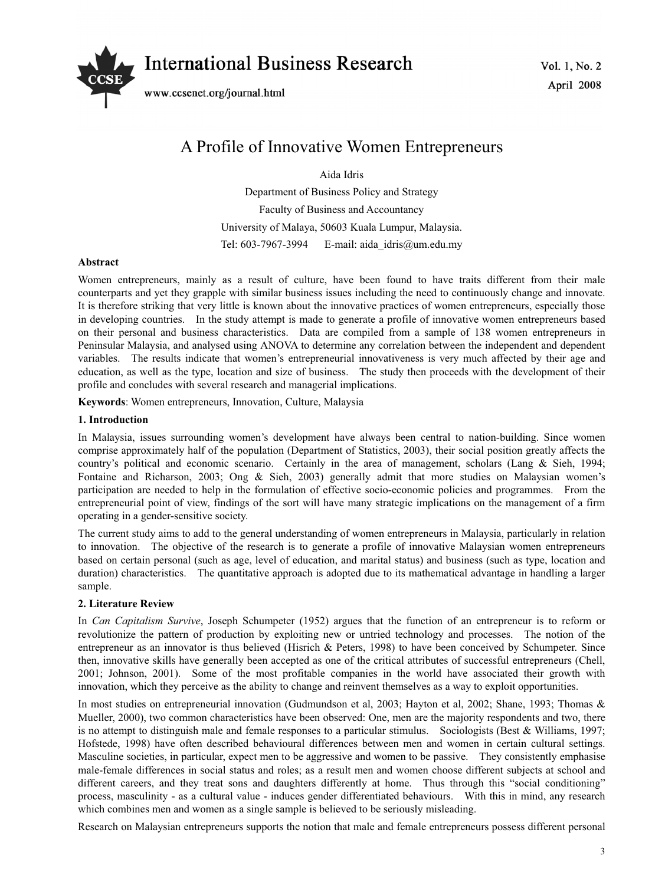

# A Profile of Innovative Women Entrepreneurs

Aida Idris

Department of Business Policy and Strategy Faculty of Business and Accountancy University of Malaya, 50603 Kuala Lumpur, Malaysia. Tel: 603-7967-3994 E-mail: aida\_idris@um.edu.my

#### **Abstract**

Women entrepreneurs, mainly as a result of culture, have been found to have traits different from their male counterparts and yet they grapple with similar business issues including the need to continuously change and innovate. It is therefore striking that very little is known about the innovative practices of women entrepreneurs, especially those in developing countries. In the study attempt is made to generate a profile of innovative women entrepreneurs based on their personal and business characteristics. Data are compiled from a sample of 138 women entrepreneurs in Peninsular Malaysia, and analysed using ANOVA to determine any correlation between the independent and dependent variables. The results indicate that women's entrepreneurial innovativeness is very much affected by their age and education, as well as the type, location and size of business. The study then proceeds with the development of their profile and concludes with several research and managerial implications.

**Keywords**: Women entrepreneurs, Innovation, Culture, Malaysia

#### **1. Introduction**

In Malaysia, issues surrounding women's development have always been central to nation-building. Since women comprise approximately half of the population (Department of Statistics, 2003), their social position greatly affects the country's political and economic scenario. Certainly in the area of management, scholars (Lang & Sieh, 1994; Fontaine and Richarson, 2003; Ong & Sieh, 2003) generally admit that more studies on Malaysian women's participation are needed to help in the formulation of effective socio-economic policies and programmes. From the entrepreneurial point of view, findings of the sort will have many strategic implications on the management of a firm operating in a gender-sensitive society.

The current study aims to add to the general understanding of women entrepreneurs in Malaysia, particularly in relation to innovation. The objective of the research is to generate a profile of innovative Malaysian women entrepreneurs based on certain personal (such as age, level of education, and marital status) and business (such as type, location and duration) characteristics. The quantitative approach is adopted due to its mathematical advantage in handling a larger sample.

#### **2. Literature Review**

In *Can Capitalism Survive*, Joseph Schumpeter (1952) argues that the function of an entrepreneur is to reform or revolutionize the pattern of production by exploiting new or untried technology and processes. The notion of the entrepreneur as an innovator is thus believed (Hisrich & Peters, 1998) to have been conceived by Schumpeter. Since then, innovative skills have generally been accepted as one of the critical attributes of successful entrepreneurs (Chell, 2001; Johnson, 2001). Some of the most profitable companies in the world have associated their growth with innovation, which they perceive as the ability to change and reinvent themselves as a way to exploit opportunities.

In most studies on entrepreneurial innovation (Gudmundson et al, 2003; Hayton et al, 2002; Shane, 1993; Thomas & Mueller, 2000), two common characteristics have been observed: One, men are the majority respondents and two, there is no attempt to distinguish male and female responses to a particular stimulus. Sociologists (Best & Williams, 1997; Hofstede, 1998) have often described behavioural differences between men and women in certain cultural settings. Masculine societies, in particular, expect men to be aggressive and women to be passive. They consistently emphasise male-female differences in social status and roles; as a result men and women choose different subjects at school and different careers, and they treat sons and daughters differently at home. Thus through this "social conditioning" process, masculinity - as a cultural value - induces gender differentiated behaviours. With this in mind, any research which combines men and women as a single sample is believed to be seriously misleading.

Research on Malaysian entrepreneurs supports the notion that male and female entrepreneurs possess different personal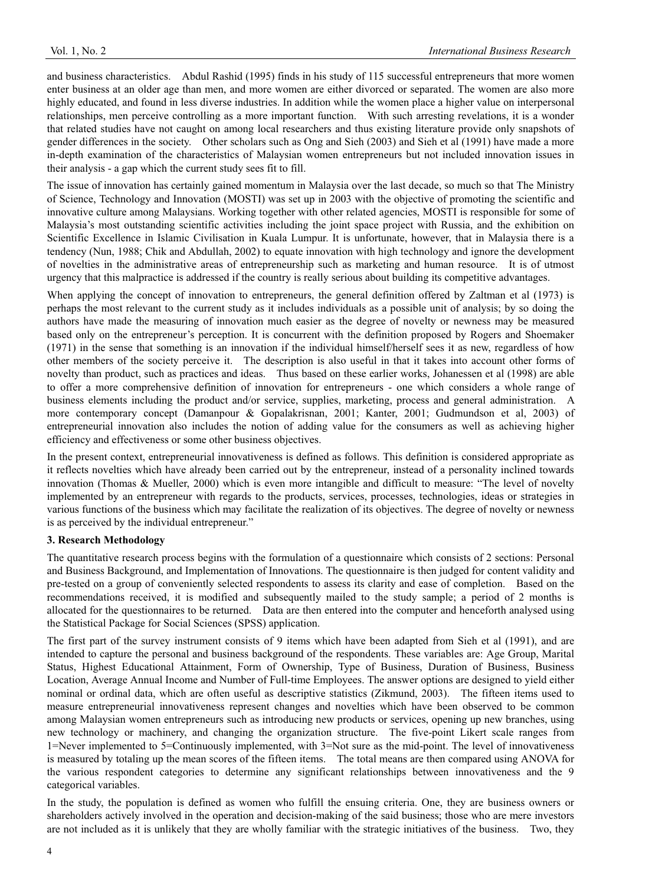and business characteristics. Abdul Rashid (1995) finds in his study of 115 successful entrepreneurs that more women enter business at an older age than men, and more women are either divorced or separated. The women are also more highly educated, and found in less diverse industries. In addition while the women place a higher value on interpersonal relationships, men perceive controlling as a more important function. With such arresting revelations, it is a wonder that related studies have not caught on among local researchers and thus existing literature provide only snapshots of gender differences in the society. Other scholars such as Ong and Sieh (2003) and Sieh et al (1991) have made a more in-depth examination of the characteristics of Malaysian women entrepreneurs but not included innovation issues in their analysis - a gap which the current study sees fit to fill.

The issue of innovation has certainly gained momentum in Malaysia over the last decade, so much so that The Ministry of Science, Technology and Innovation (MOSTI) was set up in 2003 with the objective of promoting the scientific and innovative culture among Malaysians. Working together with other related agencies, MOSTI is responsible for some of Malaysia's most outstanding scientific activities including the joint space project with Russia, and the exhibition on Scientific Excellence in Islamic Civilisation in Kuala Lumpur. It is unfortunate, however, that in Malaysia there is a tendency (Nun, 1988; Chik and Abdullah, 2002) to equate innovation with high technology and ignore the development of novelties in the administrative areas of entrepreneurship such as marketing and human resource. It is of utmost urgency that this malpractice is addressed if the country is really serious about building its competitive advantages.

When applying the concept of innovation to entrepreneurs, the general definition offered by Zaltman et al (1973) is perhaps the most relevant to the current study as it includes individuals as a possible unit of analysis; by so doing the authors have made the measuring of innovation much easier as the degree of novelty or newness may be measured based only on the entrepreneur's perception. It is concurrent with the definition proposed by Rogers and Shoemaker (1971) in the sense that something is an innovation if the individual himself/herself sees it as new, regardless of how other members of the society perceive it. The description is also useful in that it takes into account other forms of novelty than product, such as practices and ideas. Thus based on these earlier works, Johanessen et al (1998) are able to offer a more comprehensive definition of innovation for entrepreneurs - one which considers a whole range of business elements including the product and/or service, supplies, marketing, process and general administration. A more contemporary concept (Damanpour & Gopalakrisnan, 2001; Kanter, 2001; Gudmundson et al, 2003) of entrepreneurial innovation also includes the notion of adding value for the consumers as well as achieving higher efficiency and effectiveness or some other business objectives.

In the present context, entrepreneurial innovativeness is defined as follows. This definition is considered appropriate as it reflects novelties which have already been carried out by the entrepreneur, instead of a personality inclined towards innovation (Thomas & Mueller, 2000) which is even more intangible and difficult to measure: "The level of novelty implemented by an entrepreneur with regards to the products, services, processes, technologies, ideas or strategies in various functions of the business which may facilitate the realization of its objectives. The degree of novelty or newness is as perceived by the individual entrepreneur."

# **3. Research Methodology**

The quantitative research process begins with the formulation of a questionnaire which consists of 2 sections: Personal and Business Background, and Implementation of Innovations. The questionnaire is then judged for content validity and pre-tested on a group of conveniently selected respondents to assess its clarity and ease of completion. Based on the recommendations received, it is modified and subsequently mailed to the study sample; a period of 2 months is allocated for the questionnaires to be returned. Data are then entered into the computer and henceforth analysed using the Statistical Package for Social Sciences (SPSS) application.

The first part of the survey instrument consists of 9 items which have been adapted from Sieh et al (1991), and are intended to capture the personal and business background of the respondents. These variables are: Age Group, Marital Status, Highest Educational Attainment, Form of Ownership, Type of Business, Duration of Business, Business Location, Average Annual Income and Number of Full-time Employees. The answer options are designed to yield either nominal or ordinal data, which are often useful as descriptive statistics (Zikmund, 2003). The fifteen items used to measure entrepreneurial innovativeness represent changes and novelties which have been observed to be common among Malaysian women entrepreneurs such as introducing new products or services, opening up new branches, using new technology or machinery, and changing the organization structure. The five-point Likert scale ranges from 1=Never implemented to 5=Continuously implemented, with 3=Not sure as the mid-point. The level of innovativeness is measured by totaling up the mean scores of the fifteen items. The total means are then compared using ANOVA for the various respondent categories to determine any significant relationships between innovativeness and the 9 categorical variables.

In the study, the population is defined as women who fulfill the ensuing criteria. One, they are business owners or shareholders actively involved in the operation and decision-making of the said business; those who are mere investors are not included as it is unlikely that they are wholly familiar with the strategic initiatives of the business. Two, they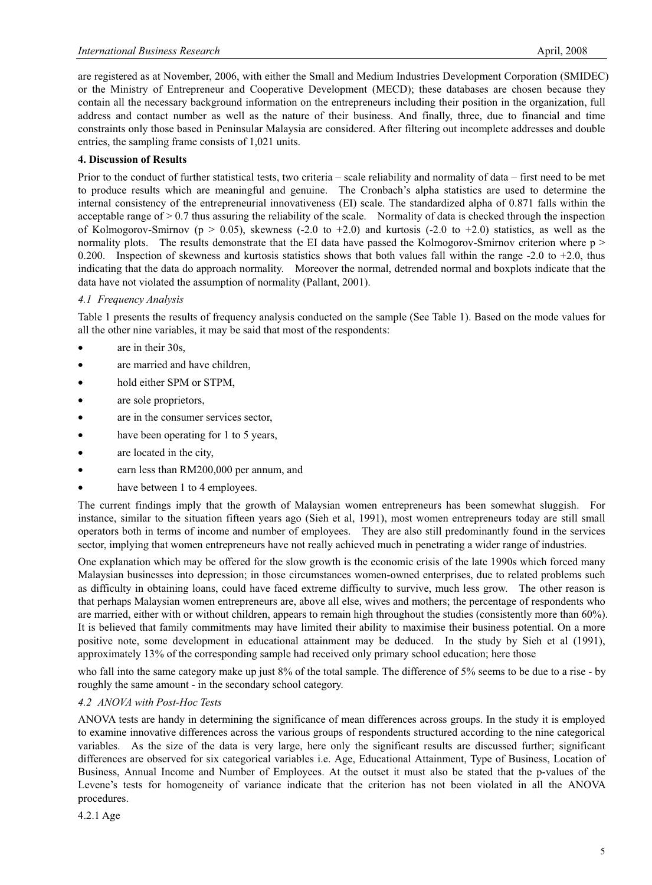### *International Business Research* April, 2008

are registered as at November, 2006, with either the Small and Medium Industries Development Corporation (SMIDEC) or the Ministry of Entrepreneur and Cooperative Development (MECD); these databases are chosen because they contain all the necessary background information on the entrepreneurs including their position in the organization, full address and contact number as well as the nature of their business. And finally, three, due to financial and time constraints only those based in Peninsular Malaysia are considered. After filtering out incomplete addresses and double entries, the sampling frame consists of 1,021 units.

## **4. Discussion of Results**

Prior to the conduct of further statistical tests, two criteria – scale reliability and normality of data – first need to be met to produce results which are meaningful and genuine. The Cronbach's alpha statistics are used to determine the internal consistency of the entrepreneurial innovativeness (EI) scale. The standardized alpha of 0.871 falls within the acceptable range of  $> 0.7$  thus assuring the reliability of the scale. Normality of data is checked through the inspection of Kolmogorov-Smirnov ( $p > 0.05$ ), skewness (-2.0 to +2.0) and kurtosis (-2.0 to +2.0) statistics, as well as the normality plots. The results demonstrate that the EI data have passed the Kolmogorov-Smirnov criterion where  $p$ 0.200. Inspection of skewness and kurtosis statistics shows that both values fall within the range  $-2.0$  to  $+2.0$ , thus indicating that the data do approach normality. Moreover the normal, detrended normal and boxplots indicate that the data have not violated the assumption of normality (Pallant, 2001).

### *4.1 Frequency Analysis*

Table 1 presents the results of frequency analysis conducted on the sample (See Table 1). Based on the mode values for all the other nine variables, it may be said that most of the respondents:

- are in their 30s,
- are married and have children,
- hold either SPM or STPM,
- are sole proprietors,
- are in the consumer services sector,
- have been operating for 1 to 5 years,
- are located in the city,
- earn less than RM200,000 per annum, and
- have between 1 to 4 employees.

The current findings imply that the growth of Malaysian women entrepreneurs has been somewhat sluggish. For instance, similar to the situation fifteen years ago (Sieh et al, 1991), most women entrepreneurs today are still small operators both in terms of income and number of employees. They are also still predominantly found in the services sector, implying that women entrepreneurs have not really achieved much in penetrating a wider range of industries.

One explanation which may be offered for the slow growth is the economic crisis of the late 1990s which forced many Malaysian businesses into depression; in those circumstances women-owned enterprises, due to related problems such as difficulty in obtaining loans, could have faced extreme difficulty to survive, much less grow. The other reason is that perhaps Malaysian women entrepreneurs are, above all else, wives and mothers; the percentage of respondents who are married, either with or without children, appears to remain high throughout the studies (consistently more than 60%). It is believed that family commitments may have limited their ability to maximise their business potential. On a more positive note, some development in educational attainment may be deduced. In the study by Sieh et al (1991), approximately 13% of the corresponding sample had received only primary school education; here those

who fall into the same category make up just 8% of the total sample. The difference of 5% seems to be due to a rise - by roughly the same amount - in the secondary school category.

# *4.2 ANOVA with Post-Hoc Tests*

ANOVA tests are handy in determining the significance of mean differences across groups. In the study it is employed to examine innovative differences across the various groups of respondents structured according to the nine categorical variables. As the size of the data is very large, here only the significant results are discussed further; significant differences are observed for six categorical variables i.e. Age, Educational Attainment, Type of Business, Location of Business, Annual Income and Number of Employees. At the outset it must also be stated that the p-values of the Levene's tests for homogeneity of variance indicate that the criterion has not been violated in all the ANOVA procedures.

4.2.1 Age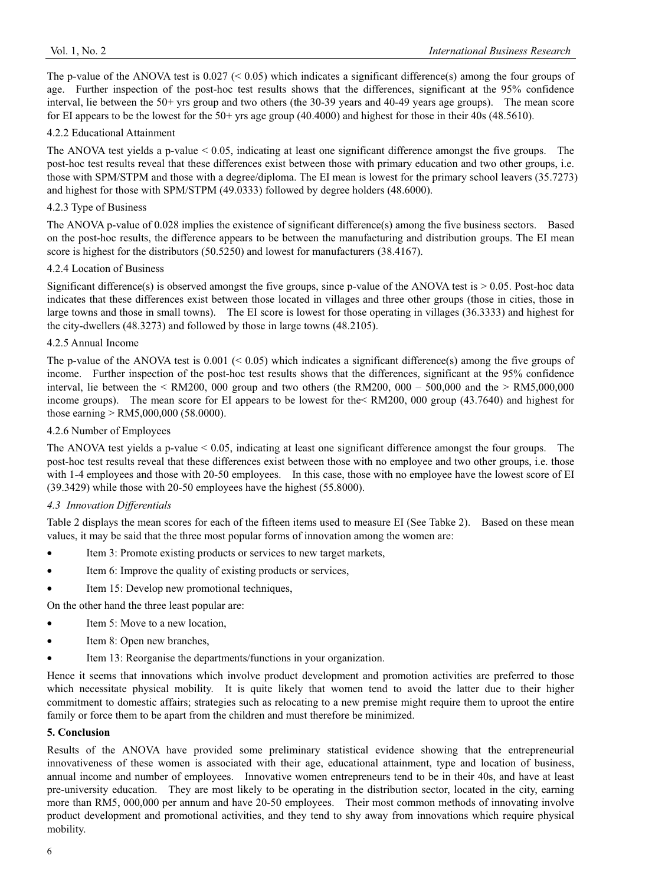The p-value of the ANOVA test is  $0.027 \leq 0.05$  which indicates a significant difference(s) among the four groups of age. Further inspection of the post-hoc test results shows that the differences, significant at the 95% confidence interval, lie between the 50+ yrs group and two others (the 30-39 years and 40-49 years age groups). The mean score for EI appears to be the lowest for the 50+ yrs age group (40.4000) and highest for those in their 40s (48.5610).

### 4.2.2 Educational Attainment

The ANOVA test yields a p-value < 0.05, indicating at least one significant difference amongst the five groups. The post-hoc test results reveal that these differences exist between those with primary education and two other groups, i.e. those with SPM/STPM and those with a degree/diploma. The EI mean is lowest for the primary school leavers (35.7273) and highest for those with SPM/STPM (49.0333) followed by degree holders (48.6000).

### 4.2.3 Type of Business

The ANOVA p-value of 0.028 implies the existence of significant difference(s) among the five business sectors. Based on the post-hoc results, the difference appears to be between the manufacturing and distribution groups. The EI mean score is highest for the distributors (50.5250) and lowest for manufacturers (38.4167).

### 4.2.4 Location of Business

Significant difference(s) is observed amongst the five groups, since p-value of the ANOVA test is  $> 0.05$ . Post-hoc data indicates that these differences exist between those located in villages and three other groups (those in cities, those in large towns and those in small towns). The EI score is lowest for those operating in villages (36.3333) and highest for the city-dwellers (48.3273) and followed by those in large towns (48.2105).

### 4.2.5 Annual Income

The p-value of the ANOVA test is  $0.001$  ( $0.05$ ) which indicates a significant difference(s) among the five groups of income. Further inspection of the post-hoc test results shows that the differences, significant at the 95% confidence interval, lie between the  $\leq$  RM200, 000 group and two others (the RM200, 000 – 500,000 and the  $>$  RM5,000,000 income groups). The mean score for EI appears to be lowest for the< RM200, 000 group (43.7640) and highest for those earning > RM5,000,000 (58.0000).

### 4.2.6 Number of Employees

The ANOVA test yields a p-value  $< 0.05$ , indicating at least one significant difference amongst the four groups. The post-hoc test results reveal that these differences exist between those with no employee and two other groups, i.e. those with 1-4 employees and those with 20-50 employees. In this case, those with no employee have the lowest score of EI (39.3429) while those with 20-50 employees have the highest (55.8000).

# *4.3 Innovation Differentials*

Table 2 displays the mean scores for each of the fifteen items used to measure EI (See Tabke 2). Based on these mean values, it may be said that the three most popular forms of innovation among the women are:

- Item 3: Promote existing products or services to new target markets,
- Item 6: Improve the quality of existing products or services,
- Item 15: Develop new promotional techniques,
- On the other hand the three least popular are:
- Item 5: Move to a new location,
- Item 8: Open new branches,
- Item 13: Reorganise the departments/functions in your organization.

Hence it seems that innovations which involve product development and promotion activities are preferred to those which necessitate physical mobility. It is quite likely that women tend to avoid the latter due to their higher commitment to domestic affairs; strategies such as relocating to a new premise might require them to uproot the entire family or force them to be apart from the children and must therefore be minimized.

#### **5. Conclusion**

Results of the ANOVA have provided some preliminary statistical evidence showing that the entrepreneurial innovativeness of these women is associated with their age, educational attainment, type and location of business, annual income and number of employees. Innovative women entrepreneurs tend to be in their 40s, and have at least pre-university education. They are most likely to be operating in the distribution sector, located in the city, earning more than RM5, 000,000 per annum and have 20-50 employees. Their most common methods of innovating involve product development and promotional activities, and they tend to shy away from innovations which require physical mobility.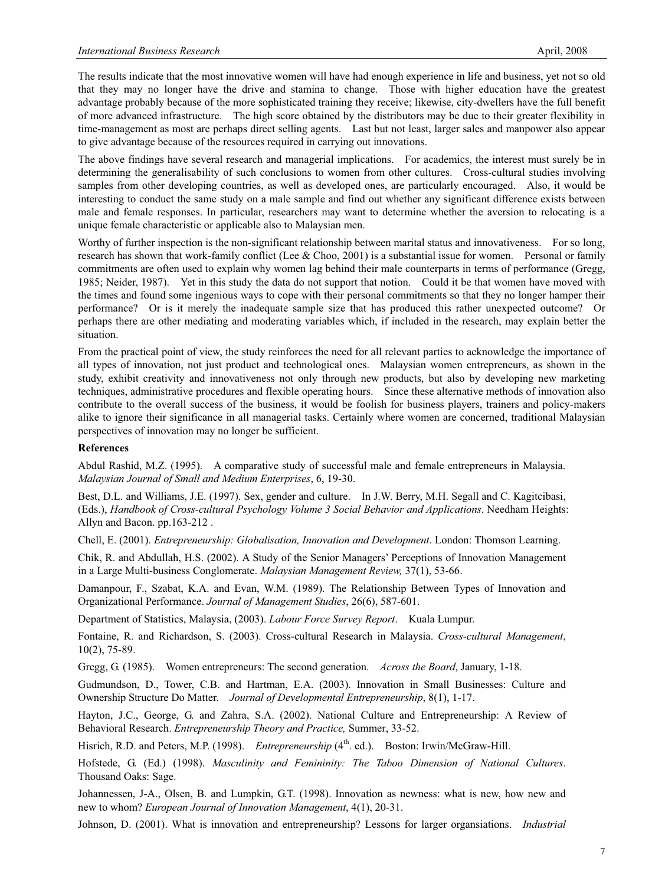The results indicate that the most innovative women will have had enough experience in life and business, yet not so old that they may no longer have the drive and stamina to change. Those with higher education have the greatest advantage probably because of the more sophisticated training they receive; likewise, city-dwellers have the full benefit of more advanced infrastructure. The high score obtained by the distributors may be due to their greater flexibility in time-management as most are perhaps direct selling agents. Last but not least, larger sales and manpower also appear to give advantage because of the resources required in carrying out innovations.

The above findings have several research and managerial implications. For academics, the interest must surely be in determining the generalisability of such conclusions to women from other cultures. Cross-cultural studies involving samples from other developing countries, as well as developed ones, are particularly encouraged. Also, it would be interesting to conduct the same study on a male sample and find out whether any significant difference exists between male and female responses. In particular, researchers may want to determine whether the aversion to relocating is a unique female characteristic or applicable also to Malaysian men.

Worthy of further inspection is the non-significant relationship between marital status and innovativeness. For so long, research has shown that work-family conflict (Lee & Choo, 2001) is a substantial issue for women. Personal or family commitments are often used to explain why women lag behind their male counterparts in terms of performance (Gregg, 1985; Neider, 1987). Yet in this study the data do not support that notion. Could it be that women have moved with the times and found some ingenious ways to cope with their personal commitments so that they no longer hamper their performance? Or is it merely the inadequate sample size that has produced this rather unexpected outcome? Or perhaps there are other mediating and moderating variables which, if included in the research, may explain better the situation.

From the practical point of view, the study reinforces the need for all relevant parties to acknowledge the importance of all types of innovation, not just product and technological ones. Malaysian women entrepreneurs, as shown in the study, exhibit creativity and innovativeness not only through new products, but also by developing new marketing techniques, administrative procedures and flexible operating hours. Since these alternative methods of innovation also contribute to the overall success of the business, it would be foolish for business players, trainers and policy-makers alike to ignore their significance in all managerial tasks. Certainly where women are concerned, traditional Malaysian perspectives of innovation may no longer be sufficient.

#### **References**

Abdul Rashid, M.Z. (1995). A comparative study of successful male and female entrepreneurs in Malaysia. *Malaysian Journal of Small and Medium Enterprises*, 6, 19-30.

Best, D.L. and Williams, J.E. (1997). Sex, gender and culture. In J.W. Berry, M.H. Segall and C. Kagitcibasi, (Eds.), *Handbook of Cross-cultural Psychology Volume 3 Social Behavior and Applications*. Needham Heights: Allyn and Bacon. pp.163-212 .

Chell, E. (2001). *Entrepreneurship: Globalisation, Innovation and Development*. London: Thomson Learning.

Chik, R. and Abdullah, H.S. (2002). A Study of the Senior Managers' Perceptions of Innovation Management in a Large Multi-business Conglomerate. *Malaysian Management Review,* 37(1), 53-66.

Damanpour, F., Szabat, K.A. and Evan, W.M. (1989). The Relationship Between Types of Innovation and Organizational Performance. *Journal of Management Studies*, 26(6), 587-601.

Department of Statistics, Malaysia, (2003). *Labour Force Survey Report*. Kuala Lumpur.

Fontaine, R. and Richardson, S. (2003). Cross-cultural Research in Malaysia. *Cross-cultural Management*, 10(2), 75-89.

Gregg, G. (1985). Women entrepreneurs: The second generation. *Across the Board*, January, 1-18.

Gudmundson, D., Tower, C.B. and Hartman, E.A. (2003). Innovation in Small Businesses: Culture and Ownership Structure Do Matter. *Journal of Developmental Entrepreneurship*, 8(1), 1-17.

Hayton, J.C., George, G. and Zahra, S.A. (2002). National Culture and Entrepreneurship: A Review of Behavioral Research. *Entrepreneurship Theory and Practice,* Summer, 33-52.

Hisrich, R.D. and Peters, M.P. (1998). *Entrepreneurship* (4<sup>th</sup>. ed.). Boston: Irwin/McGraw-Hill.

Hofstede, G. (Ed.) (1998). *Masculinity and Femininity: The Taboo Dimension of National Cultures*. Thousand Oaks: Sage.

Johannessen, J-A., Olsen, B. and Lumpkin, G.T. (1998). Innovation as newness: what is new, how new and new to whom? *European Journal of Innovation Management*, 4(1), 20-31.

Johnson, D. (2001). What is innovation and entrepreneurship? Lessons for larger organsiations. *Industrial*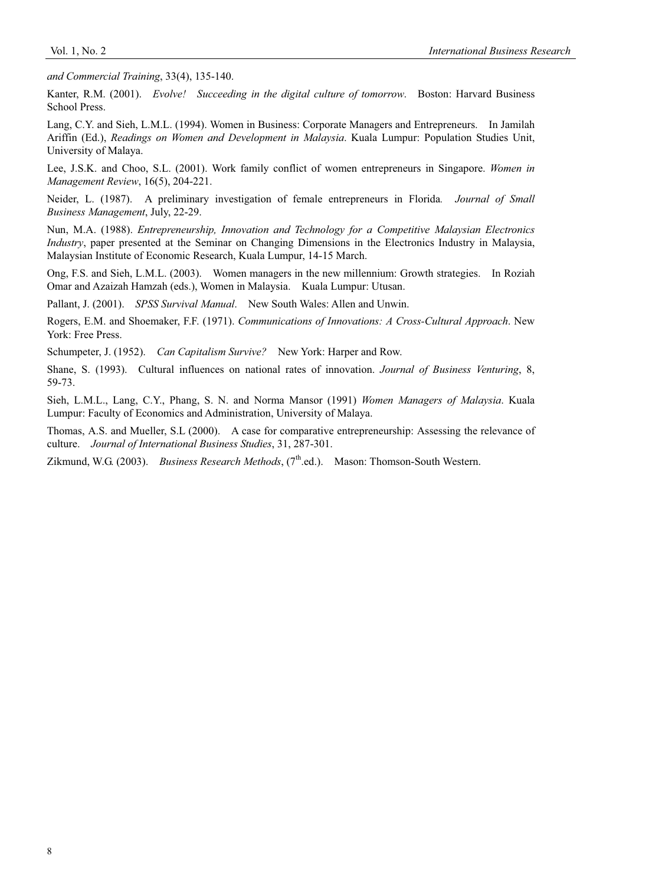*and Commercial Training*, 33(4), 135-140.

Kanter, R.M. (2001). *Evolve! Succeeding in the digital culture of tomorrow*. Boston: Harvard Business School Press.

Lang, C.Y. and Sieh, L.M.L. (1994). Women in Business: Corporate Managers and Entrepreneurs. In Jamilah Ariffin (Ed.), *Readings on Women and Development in Malaysia*. Kuala Lumpur: Population Studies Unit, University of Malaya.

Lee, J.S.K. and Choo, S.L. (2001). Work family conflict of women entrepreneurs in Singapore. *Women in Management Review*, 16(5), 204-221.

Neider, L. (1987). A preliminary investigation of female entrepreneurs in Florida*. Journal of Small Business Management*, July, 22-29.

Nun, M.A. (1988). *Entrepreneurship, Innovation and Technology for a Competitive Malaysian Electronics Industry*, paper presented at the Seminar on Changing Dimensions in the Electronics Industry in Malaysia, Malaysian Institute of Economic Research, Kuala Lumpur, 14-15 March.

Ong, F.S. and Sieh, L.M.L. (2003). Women managers in the new millennium: Growth strategies. In Roziah Omar and Azaizah Hamzah (eds.), Women in Malaysia. Kuala Lumpur: Utusan.

Pallant, J. (2001). *SPSS Survival Manual*. New South Wales: Allen and Unwin.

Rogers, E.M. and Shoemaker, F.F. (1971). *Communications of Innovations: A Cross-Cultural Approach*. New York: Free Press.

Schumpeter, J. (1952). *Can Capitalism Survive?* New York: Harper and Row.

Shane, S. (1993). Cultural influences on national rates of innovation. *Journal of Business Venturing*, 8, 59-73.

Sieh, L.M.L., Lang, C.Y., Phang, S. N. and Norma Mansor (1991) *Women Managers of Malaysia*. Kuala Lumpur: Faculty of Economics and Administration, University of Malaya.

Thomas, A.S. and Mueller, S.L (2000). A case for comparative entrepreneurship: Assessing the relevance of culture. *Journal of International Business Studies*, 31, 287-301.

Zikmund, W.G. (2003). *Business Research Methods*, (7<sup>th</sup>.ed.). Mason: Thomson-South Western.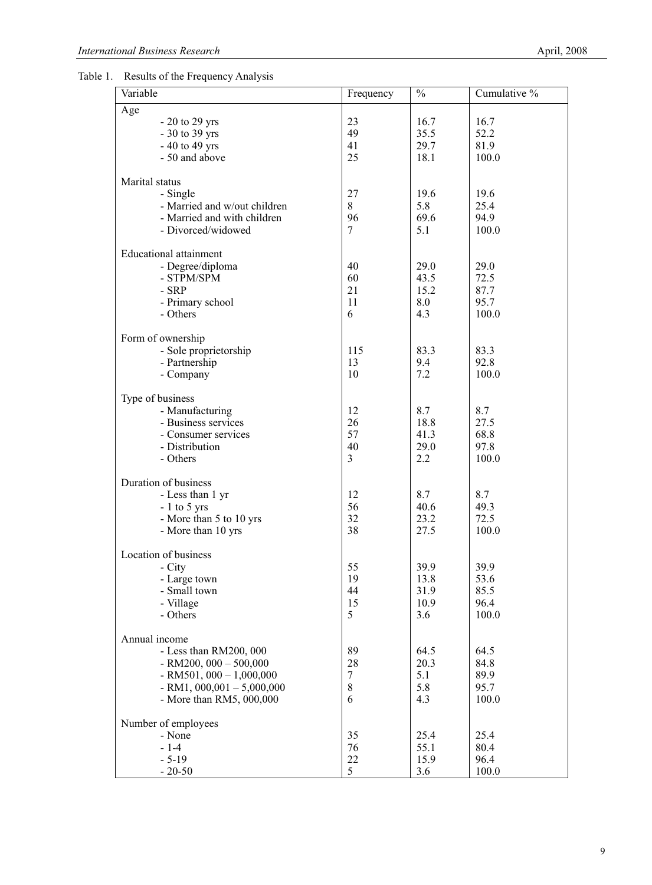Table 1. Results of the Frequency Analysis

| Variable                       | Frequency | $\frac{0}{0}$ | Cumulative % |
|--------------------------------|-----------|---------------|--------------|
| Age                            |           |               |              |
| $-20$ to 29 yrs                | 23        | 16.7          | 16.7         |
| - 30 to 39 yrs                 | 49        | 35.5          | 52.2         |
| - 40 to 49 yrs                 | 41        | 29.7          | 81.9         |
| - 50 and above                 | 25        | 18.1          | 100.0        |
| Marital status                 |           |               |              |
| - Single                       | 27        | 19.6          | 19.6         |
| - Married and w/out children   | 8         | 5.8           | 25.4         |
|                                |           |               |              |
| - Married and with children    | 96        | 69.6          | 94.9         |
| - Divorced/widowed             | 7         | 5.1           | 100.0        |
| Educational attainment         |           |               |              |
| - Degree/diploma               | 40        | 29.0          | 29.0         |
| - STPM/SPM                     | 60        | 43.5          | 72.5         |
| - SRP                          | 21        | 15.2          | 87.7         |
| - Primary school               | 11        | 8.0           | 95.7         |
| - Others                       | 6         | 4.3           | 100.0        |
|                                |           |               |              |
| Form of ownership              |           |               |              |
| - Sole proprietorship          | 115       | 83.3          | 83.3         |
| - Partnership                  | 13        | 9.4           | 92.8         |
| - Company                      | 10        | 7.2           | 100.0        |
| Type of business               |           |               |              |
| - Manufacturing                | 12        | 8.7           | 8.7          |
| - Business services            | 26        | 18.8          | 27.5         |
| - Consumer services            | 57        | 41.3          | 68.8         |
| - Distribution                 | 40        | 29.0          | 97.8         |
|                                |           |               |              |
| - Others                       | 3         | 2.2           | 100.0        |
| Duration of business           |           |               |              |
| - Less than 1 yr               | 12        | 8.7           | 8.7          |
| $-1$ to 5 yrs                  | 56        | 40.6          | 49.3         |
| - More than 5 to 10 yrs        | 32        | 23.2          | 72.5         |
| - More than 10 yrs             | 38        | 27.5          | 100.0        |
| Location of business           |           |               |              |
| - City                         | 55        | 39.9          | 39.9         |
| - Large town                   | 19        | 13.8          | 53.6         |
| - Small town                   | 44        | 31.9          | 85.5         |
|                                |           |               |              |
| - Village                      | 15        | 10.9          | 96.4         |
| - Others                       | 5         | 3.6           | 100.0        |
| Annual income                  |           |               |              |
| - Less than RM200, 000         | 89        | 64.5          | 64.5         |
| - RM200, $000 - 500,000$       | 28        | 20.3          | 84.8         |
| $-RM501,000-1,000,000$         | $\tau$    | 5.1           | 89.9         |
| $-$ RM1, 000,001 $-$ 5,000,000 | 8         | 5.8           | 95.7         |
| - More than RM5, 000,000       | 6         | 4.3           | 100.0        |
|                                |           |               |              |
| Number of employees            |           |               |              |
| - None                         | 35        | 25.4          | 25.4         |
| $-1-4$                         | 76        | 55.1          | 80.4         |
| $-5-19$                        | 22        | 15.9          | 96.4         |
| $-20 - 50$                     | 5         | 3.6           | 100.0        |